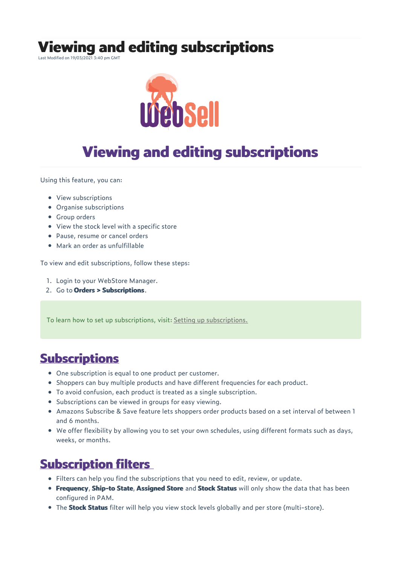**Viewing and editing subscriptions**

Last Modified on 19/03/2021 3:40 pm GMT



# **Viewing and editing subscriptions**

Using this feature, you can:

- View subscriptions
- Organise subscriptions
- Group orders
- View the stock level with a specific store
- Pause, resume or cancel orders
- Mark an order as unfulfillable

To view and edit subscriptions, follow these steps:

- 1. Login to your WebStore Manager.
- 2. Go to **Orders > Subscriptions**.

To learn how to set up subscriptions, visit: Setting up subscriptions.

#### **Subscriptions**

- One subscription is equal to one product per customer.
- Shoppers can buy multiple products and have different frequencies for each product.
- To avoid confusion, each product is treated as a single subscription.
- Subscriptions can be viewed in groups for easy viewing.
- Amazons Subscribe & Save feature lets shoppers order products based on a set interval of between 1 and 6 months.
- We offer flexibility by allowing you to set your own schedules, using different formats such as days, weeks, or months.

#### **Subscription filters**

- Filters can help you find the subscriptions that you need to edit, review, or update.
- **Frequency**, **Ship-to State**, **Assigned Store** and **Stock Status** will only show the data that has been configured in PAM.
- The **Stock Status** filter will help you view stock levels globally and per store (multi-store).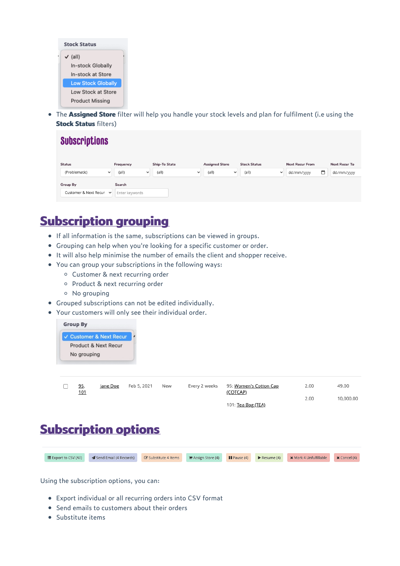

The **Assigned Store** filter will help you handle your stock levels and plan for fulfilment (i.e using the **Stock Status** filters)

| <b>Status</b>                         | Frequency             | <b>Ship-To State</b> | <b>Assigned Store</b> | <b>Stock Status</b>   | <b>Next Recur From</b> | <b>Next Recur To</b> |
|---------------------------------------|-----------------------|----------------------|-----------------------|-----------------------|------------------------|----------------------|
| (Problematic)<br>$\checkmark$         | (all)<br>$\checkmark$ | (all)<br>$\check{ }$ | (all)<br>$\checkmark$ | (all)<br>$\checkmark$ | dd/mm/yyyy             | dd/mm/yyyy           |
| Group By                              | Search                |                      |                       |                       |                        |                      |
| Customer & Next Recur<br>$\checkmark$ | Enter keywords        |                      |                       |                       |                        |                      |

## **Subscription grouping**

- If all information is the same, subscriptions can be viewed in groups.
- Grouping can help when you're looking for a specific customer or order.
- $\bullet$  It will also help minimise the number of emails the client and shopper receive.
- You can group your subscriptions in the following ways:
	- Customer & next recurring order
	- o Product & next recurring order
	- No grouping
- Grouped subscriptions can not be edited individually.
- Your customers will only see their individual order.



| <u>95,</u><br><u> 101</u> | Jane Doe | Feb 5, 2021 | New | Every 2 weeks | 95: Women's Cotton Cap<br>(COTCAP) | 2.00 | 49.00     |
|---------------------------|----------|-------------|-----|---------------|------------------------------------|------|-----------|
|                           |          |             |     |               | 101: Tea Bag (TEA)                 | 2.00 | 10,000,00 |
|                           |          |             |     |               |                                    |      |           |

## **Subscription options**

| Export to CSV (All) 4 Send Email (4 Records) & Substitute 4 Items R Assign Store (4) Il Pause (4) Resume (4) X Mark 4 Unfulfillable X Cancel (4) |  |  |  |
|--------------------------------------------------------------------------------------------------------------------------------------------------|--|--|--|
|                                                                                                                                                  |  |  |  |

Using the subscription options, you can:

- Export individual or all recurring orders into CSV format
- Send emails to customers about their orders
- Substitute items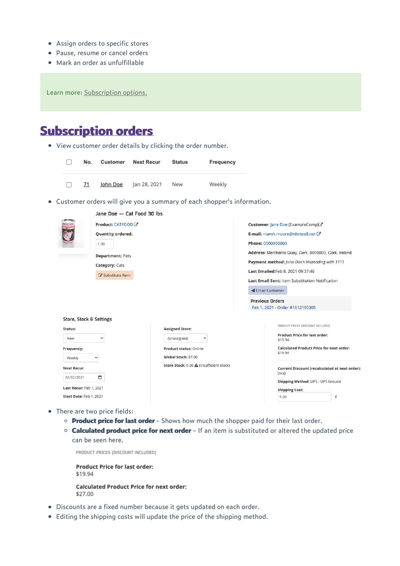- Assign orders to specific stores
- Pause, resume or cancel orders
- Mark an order as unfulfillable

Learn more: Subscription options.

### **Subscription orders**

View customer order details by clicking the order number.



- There are two price fields:
	- **Product price for last order** Shows how much the shopper paid for their last order.
	- **Calculated product price for next order** If an item is substituted or altered the updated price can be seen here.

PRODUCT PRICES (DISCOUNT INCLUDED)

**Product Price for last order:** \$19.94 **Calculated Product Price for next order:** \$27.00

- Discounts are a fixed number because it gets updated on each order.
- Editing the shipping costs will update the price of the shipping method.